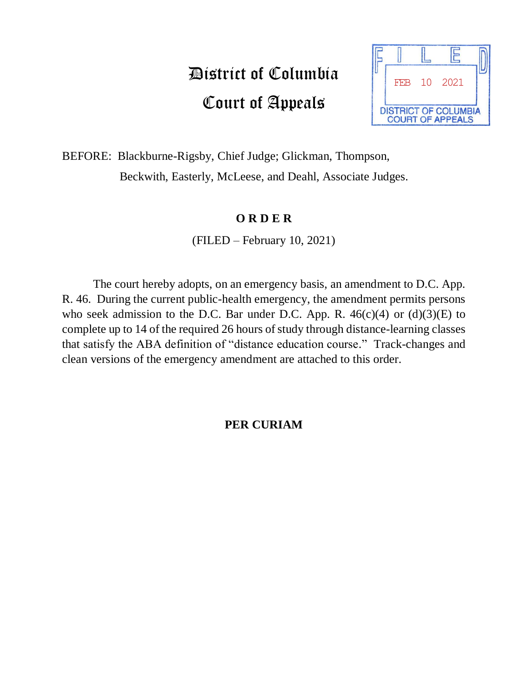## District of Columbia Court of Appeals



BEFORE: Blackburne-Rigsby, Chief Judge; Glickman, Thompson, Beckwith, Easterly, McLeese, and Deahl, Associate Judges.

## **O R D E R**

(FILED – February 10, 2021)

The court hereby adopts, on an emergency basis, an amendment to D.C. App. R. 46. During the current public-health emergency, the amendment permits persons who seek admission to the D.C. Bar under D.C. App. R.  $46(c)(4)$  or  $(d)(3)(E)$  to complete up to 14 of the required 26 hours of study through distance-learning classes that satisfy the ABA definition of "distance education course." Track-changes and clean versions of the emergency amendment are attached to this order.

## **PER CURIAM**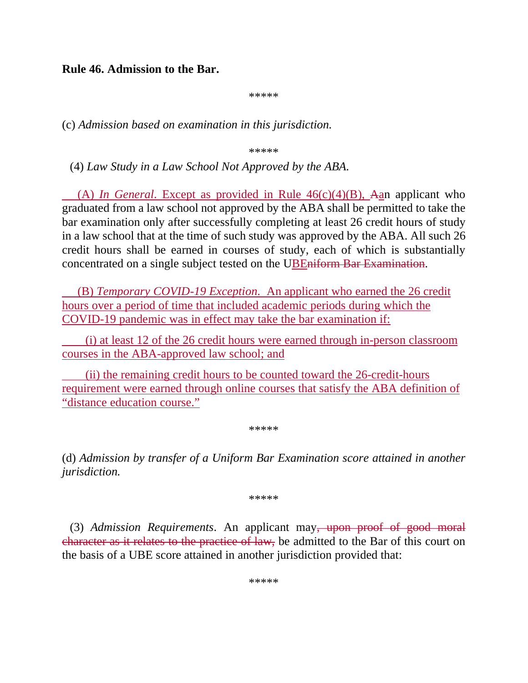**Rule 46. Admission to the Bar.**

\*\*\*\*\*

(c) *Admission based on examination in this jurisdiction.*

\*\*\*\*\*

(4) *Law Study in a Law School Not Approved by the ABA*.

(A) *In General*. Except as provided in Rule 46(c)(4)(B), Aan applicant who graduated from a law school not approved by the ABA shall be permitted to take the bar examination only after successfully completing at least 26 credit hours of study in a law school that at the time of such study was approved by the ABA. All such 26 credit hours shall be earned in courses of study, each of which is substantially concentrated on a single subject tested on the UBEniform Bar Examination.

(B) *Temporary COVID-19 Exception*. An applicant who earned the 26 credit hours over a period of time that included academic periods during which the COVID-19 pandemic was in effect may take the bar examination if:

(i) at least 12 of the 26 credit hours were earned through in-person classroom courses in the ABA-approved law school; and

(ii) the remaining credit hours to be counted toward the 26-credit-hours requirement were earned through online courses that satisfy the ABA definition of "distance education course."

\*\*\*\*\*

(d) *Admission by transfer of a Uniform Bar Examination score attained in another jurisdiction.*

\*\*\*\*\*

(3) *Admission Requirements*. An applicant may, upon proof of good moral character as it relates to the practice of law, be admitted to the Bar of this court on the basis of a UBE score attained in another jurisdiction provided that:

\*\*\*\*\*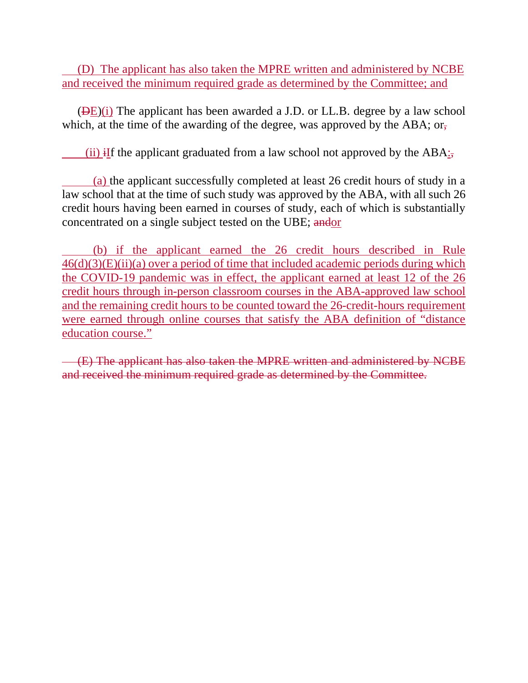(D) The applicant has also taken the MPRE written and administered by NCBE and received the minimum required grade as determined by the Committee; and

 $(DE)(i)$  The applicant has been awarded a J.D. or LL.B. degree by a law school which, at the time of the awarding of the degree, was approved by the ABA; or,

(ii) iIf the applicant graduated from a law school not approved by the  $ABA$ ;

(a) the applicant successfully completed at least 26 credit hours of study in a law school that at the time of such study was approved by the ABA, with all such 26 credit hours having been earned in courses of study, each of which is substantially concentrated on a single subject tested on the UBE; andor

(b) if the applicant earned the 26 credit hours described in Rule  $46(d)(3)(E)(ii)(a)$  over a period of time that included academic periods during which the COVID-19 pandemic was in effect, the applicant earned at least 12 of the 26 credit hours through in-person classroom courses in the ABA-approved law school and the remaining credit hours to be counted toward the 26-credit-hours requirement were earned through online courses that satisfy the ABA definition of "distance education course."

(E) The applicant has also taken the MPRE written and administered by NCBE and received the minimum required grade as determined by the Committee.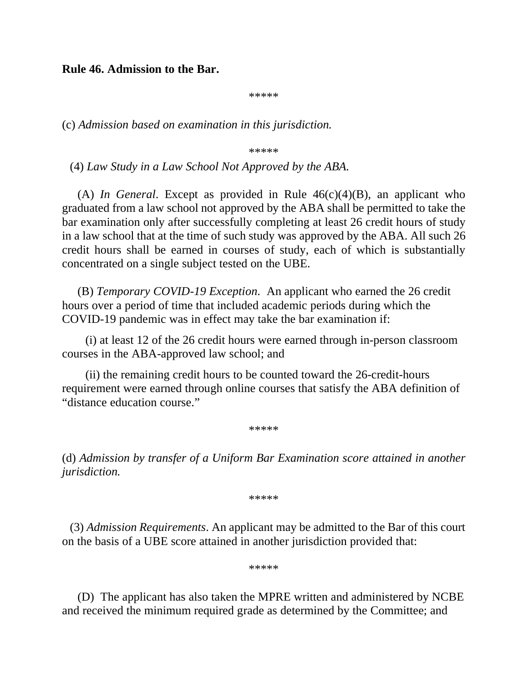**Rule 46. Admission to the Bar.**

\*\*\*\*\*

(c) *Admission based on examination in this jurisdiction.*

\*\*\*\*\*

(4) *Law Study in a Law School Not Approved by the ABA*.

(A) *In General*. Except as provided in Rule 46(c)(4)(B), an applicant who graduated from a law school not approved by the ABA shall be permitted to take the bar examination only after successfully completing at least 26 credit hours of study in a law school that at the time of such study was approved by the ABA. All such 26 credit hours shall be earned in courses of study, each of which is substantially concentrated on a single subject tested on the UBE.

(B) *Temporary COVID-19 Exception*. An applicant who earned the 26 credit hours over a period of time that included academic periods during which the COVID-19 pandemic was in effect may take the bar examination if:

(i) at least 12 of the 26 credit hours were earned through in-person classroom courses in the ABA-approved law school; and

(ii) the remaining credit hours to be counted toward the 26-credit-hours requirement were earned through online courses that satisfy the ABA definition of "distance education course."

\*\*\*\*\*

(d) *Admission by transfer of a Uniform Bar Examination score attained in another jurisdiction.*

\*\*\*\*\*

(3) *Admission Requirements*. An applicant may be admitted to the Bar of this court on the basis of a UBE score attained in another jurisdiction provided that:

\*\*\*\*\*

(D) The applicant has also taken the MPRE written and administered by NCBE and received the minimum required grade as determined by the Committee; and